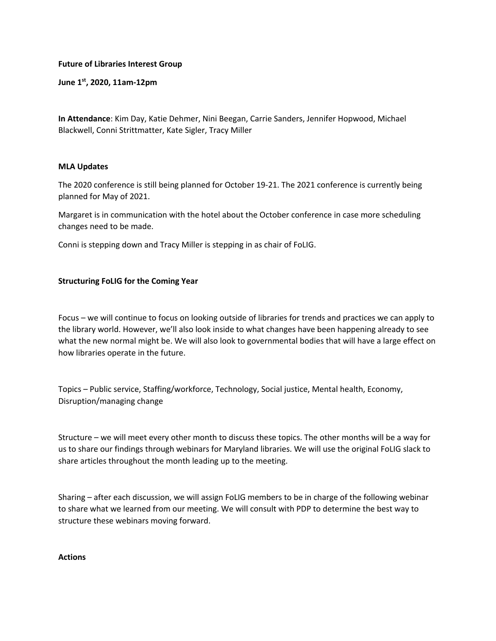## **Future of Libraries Interest Group**

**June 1st, 2020, 11am-12pm**

**In Attendance**: Kim Day, Katie Dehmer, Nini Beegan, Carrie Sanders, Jennifer Hopwood, Michael Blackwell, Conni Strittmatter, Kate Sigler, Tracy Miller

## **MLA Updates**

The 2020 conference is still being planned for October 19-21. The 2021 conference is currently being planned for May of 2021.

Margaret is in communication with the hotel about the October conference in case more scheduling changes need to be made.

Conni is stepping down and Tracy Miller is stepping in as chair of FoLIG.

## **Structuring FoLIG for the Coming Year**

Focus – we will continue to focus on looking outside of libraries for trends and practices we can apply to the library world. However, we'll also look inside to what changes have been happening already to see what the new normal might be. We will also look to governmental bodies that will have a large effect on how libraries operate in the future.

Topics – Public service, Staffing/workforce, Technology, Social justice, Mental health, Economy, Disruption/managing change

Structure – we will meet every other month to discuss these topics. The other months will be a way for us to share our findings through webinars for Maryland libraries. We will use the original FoLIG slack to share articles throughout the month leading up to the meeting.

Sharing – after each discussion, we will assign FoLIG members to be in charge of the following webinar to share what we learned from our meeting. We will consult with PDP to determine the best way to structure these webinars moving forward.

## **Actions**